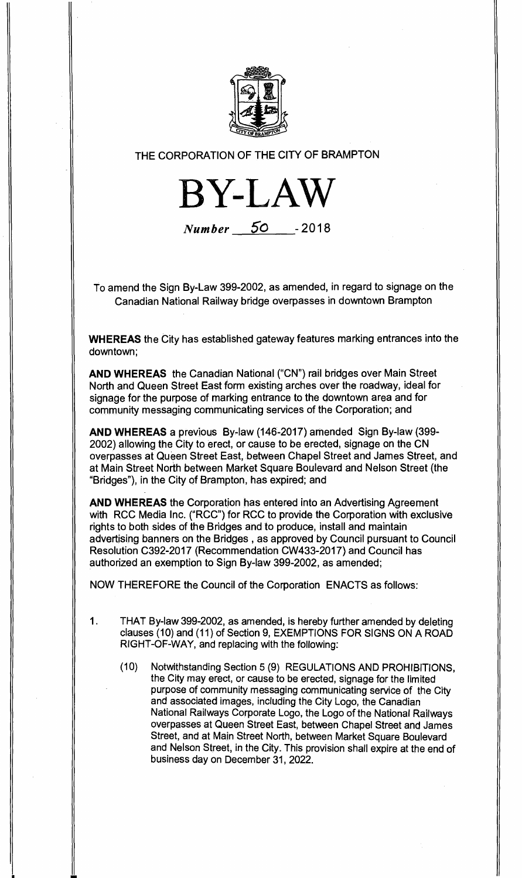

THE CORPORATION OF THE CITY OF BRAMPTON

**BY-LAW** 

**Number 50 - 2018** 

To amend the Sign By-Law 399-2002, as amended, in regard to signage on the Canadian National Railway bridge overpasses in downtown Brampton

**WHEREAS** the City has established gateway features marking entrances into the downtown;

**AND WHEREAS** the Canadian National ("CN") rail bridges over Main Street North and Queen Street East form existing arches over the roadway, ideal for signage for the purpose of marking entrance to the downtown area and for community messaging communicating services of the Corporation; and

**AND WHEREAS** a previous By-law (146-2017) amended Sign By-law (399- 2002) allowing the City to erect, or cause to be erected, signage on the CN overpasses at Queen Street East, between Chapel Street and James Street, and at Main Street North between Market Square Boulevard and Nelson Street (the "Bridges"), in the City of Brampton, has expired; and

**AND WHEREAS** the Corporation has entered into an Advertising Agreement with RCC Media Inc. ("RCC") for RCC to provide the Corporation with exclusive rights to both sides of the Bridges and to produce, install and maintain advertising banners on the Bridges , as approved by Council pursuant to Council Resolution C392-2017 (Recommendation CW433-2017) and Council has authorized an exemption to Sign By-law 399-2002, as amended;

NOW THEREFORE the Council of the Corporation ENACTS as follows:

- 1. THAT By-law 399-2002, as amended, is hereby further amended by deleting clauses (10) and (11) of Section 9, EXEMPTIONS FOR SIGNS ON A ROAD RIGHT-OF-WAY, and replacing with the following:
	- (10) Notwithstanding Section 5 (9) REGULATIONS AND PROHIBITIONS, the City may erect, or cause to be erected, signage for the limited purpose of community messaging communicating service of the City and associated images, including the City Logo, the Canadian National Railways Corporate Logo, the Logo of the National Railways overpasses at Queen Street East, between Chapel Street and James Street, and at Main Street North, between Market Square Boulevard and Nelson Street, in the City. This provision shall expire at the end of business day on December 31, 2022.